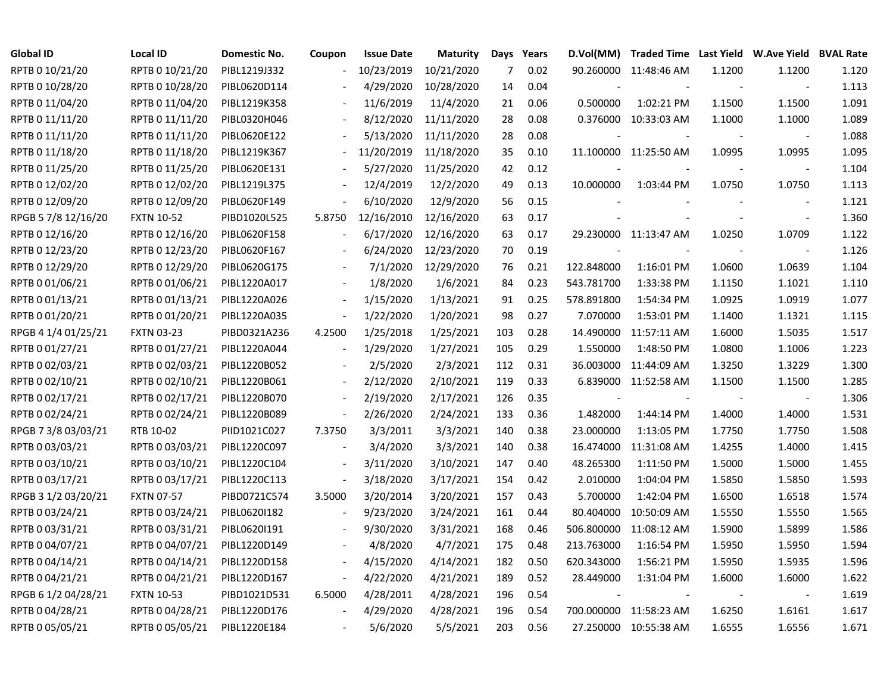| Global ID           | <b>Local ID</b>   | Domestic No. | Coupon                   | <b>Issue Date</b> | <b>Maturity</b> |     | Days Years |                | D.Vol(MM) Traded Time Last Yield W.Ave Yield BVAL Rate |                          |                          |       |
|---------------------|-------------------|--------------|--------------------------|-------------------|-----------------|-----|------------|----------------|--------------------------------------------------------|--------------------------|--------------------------|-------|
| RPTB 0 10/21/20     | RPTB 0 10/21/20   | PIBL1219J332 |                          | 10/23/2019        | 10/21/2020      | 7   | 0.02       |                | 90.260000 11:48:46 AM                                  | 1.1200                   | 1.1200                   | 1.120 |
| RPTB 0 10/28/20     | RPTB 0 10/28/20   | PIBL0620D114 |                          | 4/29/2020         | 10/28/2020      | 14  | 0.04       |                |                                                        | $\blacksquare$           | $\overline{\phantom{a}}$ | 1.113 |
| RPTB 0 11/04/20     | RPTB 0 11/04/20   | PIBL1219K358 |                          | 11/6/2019         | 11/4/2020       | 21  | 0.06       | 0.500000       | 1:02:21 PM                                             | 1.1500                   | 1.1500                   | 1.091 |
| RPTB 0 11/11/20     | RPTB 0 11/11/20   | PIBL0320H046 |                          | 8/12/2020         | 11/11/2020      | 28  | 0.08       |                | 0.376000 10:33:03 AM                                   | 1.1000                   | 1.1000                   | 1.089 |
| RPTB 0 11/11/20     | RPTB 0 11/11/20   | PIBL0620E122 |                          | 5/13/2020         | 11/11/2020      | 28  | 0.08       |                |                                                        |                          | $\overline{\phantom{a}}$ | 1.088 |
| RPTB 0 11/18/20     | RPTB 0 11/18/20   | PIBL1219K367 | $\blacksquare$           | 11/20/2019        | 11/18/2020      | 35  | 0.10       |                | 11.100000 11:25:50 AM                                  | 1.0995                   | 1.0995                   | 1.095 |
| RPTB 0 11/25/20     | RPTB 0 11/25/20   | PIBL0620E131 |                          | 5/27/2020         | 11/25/2020      | 42  | 0.12       |                |                                                        |                          | $\overline{\phantom{a}}$ | 1.104 |
| RPTB 0 12/02/20     | RPTB 0 12/02/20   | PIBL1219L375 |                          | 12/4/2019         | 12/2/2020       | 49  | 0.13       | 10.000000      | 1:03:44 PM                                             | 1.0750                   | 1.0750                   | 1.113 |
| RPTB 0 12/09/20     | RPTB 0 12/09/20   | PIBL0620F149 |                          | 6/10/2020         | 12/9/2020       | 56  | 0.15       |                |                                                        |                          | $\overline{\phantom{a}}$ | 1.121 |
| RPGB 5 7/8 12/16/20 | <b>FXTN 10-52</b> | PIBD1020L525 | 5.8750                   | 12/16/2010        | 12/16/2020      | 63  | 0.17       |                |                                                        | $\overline{\phantom{a}}$ | $\blacksquare$           | 1.360 |
| RPTB 0 12/16/20     | RPTB 0 12/16/20   | PIBL0620F158 |                          | 6/17/2020         | 12/16/2020      | 63  | 0.17       |                | 29.230000 11:13:47 AM                                  | 1.0250                   | 1.0709                   | 1.122 |
| RPTB 0 12/23/20     | RPTB 0 12/23/20   | PIBL0620F167 |                          | 6/24/2020         | 12/23/2020      | 70  | 0.19       | $\blacksquare$ |                                                        | $\overline{\phantom{a}}$ | $\overline{\phantom{a}}$ | 1.126 |
| RPTB 0 12/29/20     | RPTB 0 12/29/20   | PIBL0620G175 |                          | 7/1/2020          | 12/29/2020      | 76  | 0.21       | 122.848000     | 1:16:01 PM                                             | 1.0600                   | 1.0639                   | 1.104 |
| RPTB 0 01/06/21     | RPTB 0 01/06/21   | PIBL1220A017 |                          | 1/8/2020          | 1/6/2021        | 84  | 0.23       | 543.781700     | 1:33:38 PM                                             | 1.1150                   | 1.1021                   | 1.110 |
| RPTB 0 01/13/21     | RPTB 0 01/13/21   | PIBL1220A026 |                          | 1/15/2020         | 1/13/2021       | 91  | 0.25       | 578.891800     | 1:54:34 PM                                             | 1.0925                   | 1.0919                   | 1.077 |
| RPTB 0 01/20/21     | RPTB 0 01/20/21   | PIBL1220A035 | $\overline{\phantom{a}}$ | 1/22/2020         | 1/20/2021       | 98  | 0.27       | 7.070000       | 1:53:01 PM                                             | 1.1400                   | 1.1321                   | 1.115 |
| RPGB 4 1/4 01/25/21 | <b>FXTN 03-23</b> | PIBD0321A236 | 4.2500                   | 1/25/2018         | 1/25/2021       | 103 | 0.28       | 14.490000      | 11:57:11 AM                                            | 1.6000                   | 1.5035                   | 1.517 |
| RPTB 0 01/27/21     | RPTB 0 01/27/21   | PIBL1220A044 | $\overline{\phantom{a}}$ | 1/29/2020         | 1/27/2021       | 105 | 0.29       | 1.550000       | 1:48:50 PM                                             | 1.0800                   | 1.1006                   | 1.223 |
| RPTB 0 02/03/21     | RPTB 0 02/03/21   | PIBL1220B052 | $\overline{\phantom{a}}$ | 2/5/2020          | 2/3/2021        | 112 | 0.31       |                | 36.003000 11:44:09 AM                                  | 1.3250                   | 1.3229                   | 1.300 |
| RPTB 0 02/10/21     | RPTB 0 02/10/21   | PIBL1220B061 | $\overline{\phantom{a}}$ | 2/12/2020         | 2/10/2021       | 119 | 0.33       |                | 6.839000 11:52:58 AM                                   | 1.1500                   | 1.1500                   | 1.285 |
| RPTB 0 02/17/21     | RPTB 0 02/17/21   | PIBL1220B070 | $\overline{\phantom{a}}$ | 2/19/2020         | 2/17/2021       | 126 | 0.35       |                |                                                        |                          | $\sim$                   | 1.306 |
| RPTB 0 02/24/21     | RPTB 0 02/24/21   | PIBL1220B089 | $\overline{\phantom{a}}$ | 2/26/2020         | 2/24/2021       | 133 | 0.36       | 1.482000       | 1:44:14 PM                                             | 1.4000                   | 1.4000                   | 1.531 |
| RPGB 7 3/8 03/03/21 | RTB 10-02         | PIID1021C027 | 7.3750                   | 3/3/2011          | 3/3/2021        | 140 | 0.38       | 23.000000      | 1:13:05 PM                                             | 1.7750                   | 1.7750                   | 1.508 |
| RPTB 0 03/03/21     | RPTB 0 03/03/21   | PIBL1220C097 | $\blacksquare$           | 3/4/2020          | 3/3/2021        | 140 | 0.38       |                | 16.474000 11:31:08 AM                                  | 1.4255                   | 1.4000                   | 1.415 |
| RPTB 0 03/10/21     | RPTB 0 03/10/21   | PIBL1220C104 | $\overline{\phantom{a}}$ | 3/11/2020         | 3/10/2021       | 147 | 0.40       | 48.265300      | 1:11:50 PM                                             | 1.5000                   | 1.5000                   | 1.455 |
| RPTB 0 03/17/21     | RPTB 0 03/17/21   | PIBL1220C113 | $\blacksquare$           | 3/18/2020         | 3/17/2021       | 154 | 0.42       | 2.010000       | 1:04:04 PM                                             | 1.5850                   | 1.5850                   | 1.593 |
| RPGB 3 1/2 03/20/21 | <b>FXTN 07-57</b> | PIBD0721C574 | 3.5000                   | 3/20/2014         | 3/20/2021       | 157 | 0.43       | 5.700000       | 1:42:04 PM                                             | 1.6500                   | 1.6518                   | 1.574 |
| RPTB 0 03/24/21     | RPTB 0 03/24/21   | PIBL0620I182 |                          | 9/23/2020         | 3/24/2021       | 161 | 0.44       | 80.404000      | 10:50:09 AM                                            | 1.5550                   | 1.5550                   | 1.565 |
| RPTB 0 03/31/21     | RPTB 0 03/31/21   | PIBL06201191 |                          | 9/30/2020         | 3/31/2021       | 168 | 0.46       | 506.800000     | 11:08:12 AM                                            | 1.5900                   | 1.5899                   | 1.586 |
| RPTB 0 04/07/21     | RPTB 0 04/07/21   | PIBL1220D149 |                          | 4/8/2020          | 4/7/2021        | 175 | 0.48       | 213.763000     | 1:16:54 PM                                             | 1.5950                   | 1.5950                   | 1.594 |
| RPTB 0 04/14/21     | RPTB 0 04/14/21   | PIBL1220D158 | $\overline{\phantom{a}}$ | 4/15/2020         | 4/14/2021       | 182 | 0.50       | 620.343000     | 1:56:21 PM                                             | 1.5950                   | 1.5935                   | 1.596 |
| RPTB 0 04/21/21     | RPTB 0 04/21/21   | PIBL1220D167 | $\blacksquare$           | 4/22/2020         | 4/21/2021       | 189 | 0.52       | 28.449000      | 1:31:04 PM                                             | 1.6000                   | 1.6000                   | 1.622 |
| RPGB 6 1/2 04/28/21 | <b>FXTN 10-53</b> | PIBD1021D531 | 6.5000                   | 4/28/2011         | 4/28/2021       | 196 | 0.54       | $\sim$         |                                                        |                          |                          | 1.619 |
| RPTB 0 04/28/21     | RPTB 0 04/28/21   | PIBL1220D176 | $\overline{\phantom{a}}$ | 4/29/2020         | 4/28/2021       | 196 | 0.54       |                | 700.000000 11:58:23 AM                                 | 1.6250                   | 1.6161                   | 1.617 |
| RPTB 0 05/05/21     | RPTB 0 05/05/21   | PIBL1220E184 |                          | 5/6/2020          | 5/5/2021        | 203 | 0.56       |                | 27.250000 10:55:38 AM                                  | 1.6555                   | 1.6556                   | 1.671 |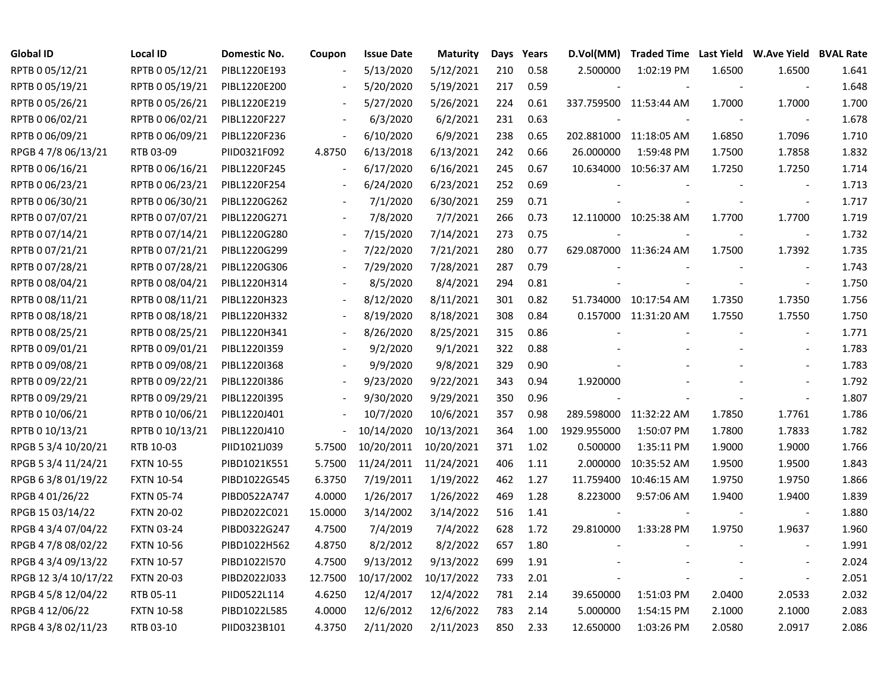| <b>Global ID</b>     | <b>Local ID</b>   | Domestic No. | Coupon                   | <b>Issue Date</b> | <b>Maturity</b> | Days | Years | D.Vol(MM)   | Traded Time Last Yield W.Ave Yield BVAL Rate |        |                          |       |
|----------------------|-------------------|--------------|--------------------------|-------------------|-----------------|------|-------|-------------|----------------------------------------------|--------|--------------------------|-------|
| RPTB 0 05/12/21      | RPTB 0 05/12/21   | PIBL1220E193 |                          | 5/13/2020         | 5/12/2021       | 210  | 0.58  | 2.500000    | 1:02:19 PM                                   | 1.6500 | 1.6500                   | 1.641 |
| RPTB 0 05/19/21      | RPTB 0 05/19/21   | PIBL1220E200 |                          | 5/20/2020         | 5/19/2021       | 217  | 0.59  |             |                                              |        |                          | 1.648 |
| RPTB 0 05/26/21      | RPTB 0 05/26/21   | PIBL1220E219 |                          | 5/27/2020         | 5/26/2021       | 224  | 0.61  |             | 337.759500 11:53:44 AM                       | 1.7000 | 1.7000                   | 1.700 |
| RPTB 0 06/02/21      | RPTB 0 06/02/21   | PIBL1220F227 |                          | 6/3/2020          | 6/2/2021        | 231  | 0.63  |             |                                              |        |                          | 1.678 |
| RPTB 0 06/09/21      | RPTB 0 06/09/21   | PIBL1220F236 | $\overline{\phantom{a}}$ | 6/10/2020         | 6/9/2021        | 238  | 0.65  |             | 202.881000 11:18:05 AM                       | 1.6850 | 1.7096                   | 1.710 |
| RPGB 4 7/8 06/13/21  | RTB 03-09         | PIID0321F092 | 4.8750                   | 6/13/2018         | 6/13/2021       | 242  | 0.66  | 26.000000   | 1:59:48 PM                                   | 1.7500 | 1.7858                   | 1.832 |
| RPTB 0 06/16/21      | RPTB 0 06/16/21   | PIBL1220F245 | $\blacksquare$           | 6/17/2020         | 6/16/2021       | 245  | 0.67  |             | 10.634000 10:56:37 AM                        | 1.7250 | 1.7250                   | 1.714 |
| RPTB 0 06/23/21      | RPTB 0 06/23/21   | PIBL1220F254 |                          | 6/24/2020         | 6/23/2021       | 252  | 0.69  |             |                                              |        | $\overline{\phantom{a}}$ | 1.713 |
| RPTB 0 06/30/21      | RPTB 0 06/30/21   | PIBL1220G262 |                          | 7/1/2020          | 6/30/2021       | 259  | 0.71  |             |                                              |        | $\blacksquare$           | 1.717 |
| RPTB 0 07/07/21      | RPTB 0 07/07/21   | PIBL1220G271 |                          | 7/8/2020          | 7/7/2021        | 266  | 0.73  |             | 12.110000 10:25:38 AM                        | 1.7700 | 1.7700                   | 1.719 |
| RPTB 0 07/14/21      | RPTB 0 07/14/21   | PIBL1220G280 | $\blacksquare$           | 7/15/2020         | 7/14/2021       | 273  | 0.75  |             |                                              |        | $\sim$                   | 1.732 |
| RPTB 0 07/21/21      | RPTB 0 07/21/21   | PIBL1220G299 |                          | 7/22/2020         | 7/21/2021       | 280  | 0.77  |             | 629.087000 11:36:24 AM                       | 1.7500 | 1.7392                   | 1.735 |
| RPTB 0 07/28/21      | RPTB 0 07/28/21   | PIBL1220G306 |                          | 7/29/2020         | 7/28/2021       | 287  | 0.79  |             |                                              |        |                          | 1.743 |
| RPTB 0 08/04/21      | RPTB 0 08/04/21   | PIBL1220H314 |                          | 8/5/2020          | 8/4/2021        | 294  | 0.81  |             |                                              |        | $\blacksquare$           | 1.750 |
| RPTB 0 08/11/21      | RPTB 0 08/11/21   | PIBL1220H323 |                          | 8/12/2020         | 8/11/2021       | 301  | 0.82  |             | 51.734000 10:17:54 AM                        | 1.7350 | 1.7350                   | 1.756 |
| RPTB 0 08/18/21      | RPTB 0 08/18/21   | PIBL1220H332 |                          | 8/19/2020         | 8/18/2021       | 308  | 0.84  |             | 0.157000 11:31:20 AM                         | 1.7550 | 1.7550                   | 1.750 |
| RPTB 0 08/25/21      | RPTB 0 08/25/21   | PIBL1220H341 | $\overline{\phantom{a}}$ | 8/26/2020         | 8/25/2021       | 315  | 0.86  |             |                                              |        |                          | 1.771 |
| RPTB 0 09/01/21      | RPTB 0 09/01/21   | PIBL1220I359 | $\blacksquare$           | 9/2/2020          | 9/1/2021        | 322  | 0.88  |             |                                              |        |                          | 1.783 |
| RPTB 0 09/08/21      | RPTB 0 09/08/21   | PIBL12201368 | $\overline{\phantom{a}}$ | 9/9/2020          | 9/8/2021        | 329  | 0.90  |             |                                              |        |                          | 1.783 |
| RPTB 0 09/22/21      | RPTB 0 09/22/21   | PIBL1220I386 | $\overline{\phantom{a}}$ | 9/23/2020         | 9/22/2021       | 343  | 0.94  | 1.920000    |                                              |        |                          | 1.792 |
| RPTB 0 09/29/21      | RPTB 0 09/29/21   | PIBL1220I395 |                          | 9/30/2020         | 9/29/2021       | 350  | 0.96  |             |                                              |        |                          | 1.807 |
| RPTB 0 10/06/21      | RPTB 0 10/06/21   | PIBL1220J401 |                          | 10/7/2020         | 10/6/2021       | 357  | 0.98  |             | 289.598000 11:32:22 AM                       | 1.7850 | 1.7761                   | 1.786 |
| RPTB 0 10/13/21      | RPTB 0 10/13/21   | PIBL1220J410 |                          | 10/14/2020        | 10/13/2021      | 364  | 1.00  | 1929.955000 | 1:50:07 PM                                   | 1.7800 | 1.7833                   | 1.782 |
| RPGB 5 3/4 10/20/21  | RTB 10-03         | PIID1021J039 | 5.7500                   | 10/20/2011        | 10/20/2021      | 371  | 1.02  | 0.500000    | 1:35:11 PM                                   | 1.9000 | 1.9000                   | 1.766 |
| RPGB 5 3/4 11/24/21  | <b>FXTN 10-55</b> | PIBD1021K551 | 5.7500                   | 11/24/2011        | 11/24/2021      | 406  | 1.11  | 2.000000    | 10:35:52 AM                                  | 1.9500 | 1.9500                   | 1.843 |
| RPGB 6 3/8 01/19/22  | <b>FXTN 10-54</b> | PIBD1022G545 | 6.3750                   | 7/19/2011         | 1/19/2022       | 462  | 1.27  | 11.759400   | 10:46:15 AM                                  | 1.9750 | 1.9750                   | 1.866 |
| RPGB 4 01/26/22      | <b>FXTN 05-74</b> | PIBD0522A747 | 4.0000                   | 1/26/2017         | 1/26/2022       | 469  | 1.28  | 8.223000    | 9:57:06 AM                                   | 1.9400 | 1.9400                   | 1.839 |
| RPGB 15 03/14/22     | <b>FXTN 20-02</b> | PIBD2022C021 | 15.0000                  | 3/14/2002         | 3/14/2022       | 516  | 1.41  |             |                                              |        |                          | 1.880 |
| RPGB 4 3/4 07/04/22  | <b>FXTN 03-24</b> | PIBD0322G247 | 4.7500                   | 7/4/2019          | 7/4/2022        | 628  | 1.72  | 29.810000   | 1:33:28 PM                                   | 1.9750 | 1.9637                   | 1.960 |
| RPGB 4 7/8 08/02/22  | <b>FXTN 10-56</b> | PIBD1022H562 | 4.8750                   | 8/2/2012          | 8/2/2022        | 657  | 1.80  |             |                                              |        |                          | 1.991 |
| RPGB 4 3/4 09/13/22  | <b>FXTN 10-57</b> | PIBD1022I570 | 4.7500                   | 9/13/2012         | 9/13/2022       | 699  | 1.91  |             |                                              |        |                          | 2.024 |
| RPGB 12 3/4 10/17/22 | <b>FXTN 20-03</b> | PIBD2022J033 | 12.7500                  | 10/17/2002        | 10/17/2022      | 733  | 2.01  |             |                                              |        | $\overline{\phantom{a}}$ | 2.051 |
| RPGB 4 5/8 12/04/22  | RTB 05-11         | PIID0522L114 | 4.6250                   | 12/4/2017         | 12/4/2022       | 781  | 2.14  | 39.650000   | 1:51:03 PM                                   | 2.0400 | 2.0533                   | 2.032 |
| RPGB 4 12/06/22      | <b>FXTN 10-58</b> | PIBD1022L585 | 4.0000                   | 12/6/2012         | 12/6/2022       | 783  | 2.14  | 5.000000    | 1:54:15 PM                                   | 2.1000 | 2.1000                   | 2.083 |
| RPGB 4 3/8 02/11/23  | RTB 03-10         | PIID0323B101 | 4.3750                   | 2/11/2020         | 2/11/2023       | 850  | 2.33  | 12.650000   | 1:03:26 PM                                   | 2.0580 | 2.0917                   | 2.086 |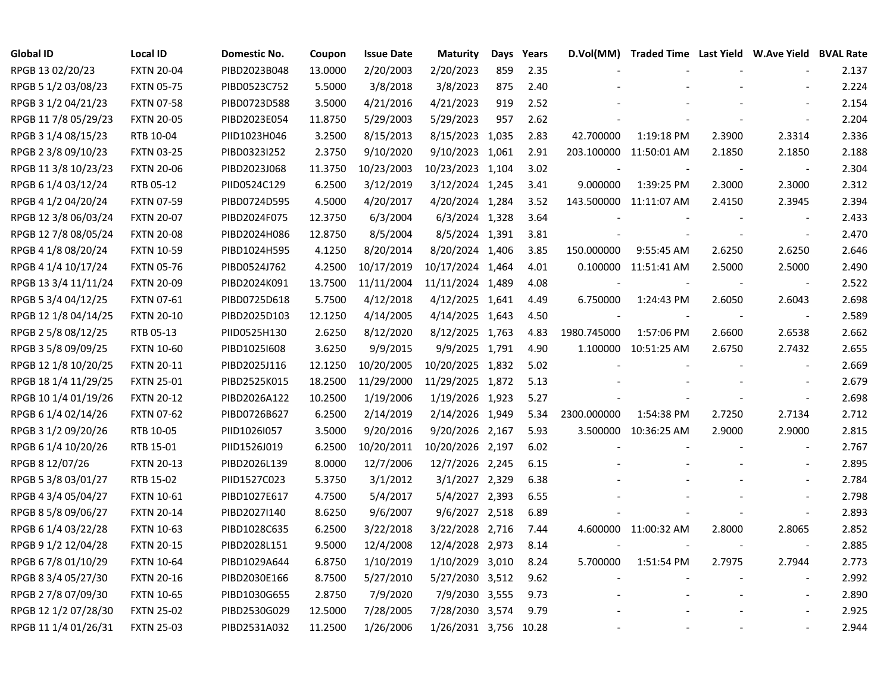| <b>Global ID</b>     | <b>Local ID</b>   | Domestic No. | Coupon  | <b>Issue Date</b> | <b>Maturity</b>       | Days | Years | D.Vol(MM)   | Traded Time Last Yield W.Ave Yield BVAL Rate |        |                          |       |
|----------------------|-------------------|--------------|---------|-------------------|-----------------------|------|-------|-------------|----------------------------------------------|--------|--------------------------|-------|
| RPGB 13 02/20/23     | <b>FXTN 20-04</b> | PIBD2023B048 | 13.0000 | 2/20/2003         | 2/20/2023             | 859  | 2.35  |             |                                              |        |                          | 2.137 |
| RPGB 5 1/2 03/08/23  | <b>FXTN 05-75</b> | PIBD0523C752 | 5.5000  | 3/8/2018          | 3/8/2023              | 875  | 2.40  |             |                                              |        |                          | 2.224 |
| RPGB 3 1/2 04/21/23  | <b>FXTN 07-58</b> | PIBD0723D588 | 3.5000  | 4/21/2016         | 4/21/2023             | 919  | 2.52  |             |                                              |        |                          | 2.154 |
| RPGB 11 7/8 05/29/23 | <b>FXTN 20-05</b> | PIBD2023E054 | 11.8750 | 5/29/2003         | 5/29/2023             | 957  | 2.62  |             |                                              |        | $\blacksquare$           | 2.204 |
| RPGB 3 1/4 08/15/23  | RTB 10-04         | PIID1023H046 | 3.2500  | 8/15/2013         | 8/15/2023 1,035       |      | 2.83  | 42.700000   | 1:19:18 PM                                   | 2.3900 | 2.3314                   | 2.336 |
| RPGB 2 3/8 09/10/23  | <b>FXTN 03-25</b> | PIBD0323I252 | 2.3750  | 9/10/2020         | 9/10/2023 1,061       |      | 2.91  |             | 203.100000 11:50:01 AM                       | 2.1850 | 2.1850                   | 2.188 |
| RPGB 11 3/8 10/23/23 | <b>FXTN 20-06</b> | PIBD2023J068 | 11.3750 | 10/23/2003        | 10/23/2023 1,104      |      | 3.02  |             |                                              |        | $\overline{\phantom{a}}$ | 2.304 |
| RPGB 6 1/4 03/12/24  | RTB 05-12         | PIID0524C129 | 6.2500  | 3/12/2019         | 3/12/2024 1,245       |      | 3.41  | 9.000000    | 1:39:25 PM                                   | 2.3000 | 2.3000                   | 2.312 |
| RPGB 4 1/2 04/20/24  | <b>FXTN 07-59</b> | PIBD0724D595 | 4.5000  | 4/20/2017         | 4/20/2024 1,284       |      | 3.52  |             | 143.500000 11:11:07 AM                       | 2.4150 | 2.3945                   | 2.394 |
| RPGB 12 3/8 06/03/24 | <b>FXTN 20-07</b> | PIBD2024F075 | 12.3750 | 6/3/2004          | 6/3/2024 1,328        |      | 3.64  |             |                                              |        | $\overline{\phantom{a}}$ | 2.433 |
| RPGB 12 7/8 08/05/24 | <b>FXTN 20-08</b> | PIBD2024H086 | 12.8750 | 8/5/2004          | 8/5/2024 1,391        |      | 3.81  |             |                                              |        | $\overline{\phantom{a}}$ | 2.470 |
| RPGB 4 1/8 08/20/24  | <b>FXTN 10-59</b> | PIBD1024H595 | 4.1250  | 8/20/2014         | 8/20/2024 1,406       |      | 3.85  | 150.000000  | 9:55:45 AM                                   | 2.6250 | 2.6250                   | 2.646 |
| RPGB 4 1/4 10/17/24  | <b>FXTN 05-76</b> | PIBD0524J762 | 4.2500  | 10/17/2019        | 10/17/2024 1,464      |      | 4.01  | 0.100000    | 11:51:41 AM                                  | 2.5000 | 2.5000                   | 2.490 |
| RPGB 13 3/4 11/11/24 | <b>FXTN 20-09</b> | PIBD2024K091 | 13.7500 | 11/11/2004        | 11/11/2024 1,489      |      | 4.08  |             |                                              |        | $\overline{\phantom{a}}$ | 2.522 |
| RPGB 5 3/4 04/12/25  | <b>FXTN 07-61</b> | PIBD0725D618 | 5.7500  | 4/12/2018         | 4/12/2025 1,641       |      | 4.49  | 6.750000    | 1:24:43 PM                                   | 2.6050 | 2.6043                   | 2.698 |
| RPGB 12 1/8 04/14/25 | <b>FXTN 20-10</b> | PIBD2025D103 | 12.1250 | 4/14/2005         | 4/14/2025 1,643       |      | 4.50  |             |                                              |        | $\overline{\phantom{a}}$ | 2.589 |
| RPGB 2 5/8 08/12/25  | RTB 05-13         | PIID0525H130 | 2.6250  | 8/12/2020         | 8/12/2025 1,763       |      | 4.83  | 1980.745000 | 1:57:06 PM                                   | 2.6600 | 2.6538                   | 2.662 |
| RPGB 3 5/8 09/09/25  | <b>FXTN 10-60</b> | PIBD1025I608 | 3.6250  | 9/9/2015          | 9/9/2025 1,791        |      | 4.90  | 1.100000    | 10:51:25 AM                                  | 2.6750 | 2.7432                   | 2.655 |
| RPGB 12 1/8 10/20/25 | <b>FXTN 20-11</b> | PIBD2025J116 | 12.1250 | 10/20/2005        | 10/20/2025 1,832      |      | 5.02  |             |                                              |        | $\blacksquare$           | 2.669 |
| RPGB 18 1/4 11/29/25 | <b>FXTN 25-01</b> | PIBD2525K015 | 18.2500 | 11/29/2000        | 11/29/2025 1,872      |      | 5.13  |             |                                              |        |                          | 2.679 |
| RPGB 10 1/4 01/19/26 | <b>FXTN 20-12</b> | PIBD2026A122 | 10.2500 | 1/19/2006         | 1/19/2026 1,923       |      | 5.27  |             |                                              |        | $\blacksquare$           | 2.698 |
| RPGB 6 1/4 02/14/26  | <b>FXTN 07-62</b> | PIBD0726B627 | 6.2500  | 2/14/2019         | 2/14/2026 1,949       |      | 5.34  | 2300.000000 | 1:54:38 PM                                   | 2.7250 | 2.7134                   | 2.712 |
| RPGB 3 1/2 09/20/26  | RTB 10-05         | PIID1026I057 | 3.5000  | 9/20/2016         | 9/20/2026 2,167       |      | 5.93  | 3.500000    | 10:36:25 AM                                  | 2.9000 | 2.9000                   | 2.815 |
| RPGB 6 1/4 10/20/26  | RTB 15-01         | PIID1526J019 | 6.2500  | 10/20/2011        | 10/20/2026 2,197      |      | 6.02  |             |                                              |        | $\overline{\phantom{a}}$ | 2.767 |
| RPGB 8 12/07/26      | <b>FXTN 20-13</b> | PIBD2026L139 | 8.0000  | 12/7/2006         | 12/7/2026 2,245       |      | 6.15  |             |                                              |        | $\sim$                   | 2.895 |
| RPGB 5 3/8 03/01/27  | RTB 15-02         | PIID1527C023 | 5.3750  | 3/1/2012          | 3/1/2027 2,329        |      | 6.38  |             |                                              |        |                          | 2.784 |
| RPGB 4 3/4 05/04/27  | <b>FXTN 10-61</b> | PIBD1027E617 | 4.7500  | 5/4/2017          | 5/4/2027 2,393        |      | 6.55  |             |                                              |        | $\blacksquare$           | 2.798 |
| RPGB 8 5/8 09/06/27  | <b>FXTN 20-14</b> | PIBD2027I140 | 8.6250  | 9/6/2007          | 9/6/2027 2,518        |      | 6.89  |             |                                              |        | $\overline{\phantom{a}}$ | 2.893 |
| RPGB 6 1/4 03/22/28  | <b>FXTN 10-63</b> | PIBD1028C635 | 6.2500  | 3/22/2018         | 3/22/2028 2,716       |      | 7.44  |             | 4.600000 11:00:32 AM                         | 2.8000 | 2.8065                   | 2.852 |
| RPGB 9 1/2 12/04/28  | <b>FXTN 20-15</b> | PIBD2028L151 | 9.5000  | 12/4/2008         | 12/4/2028 2,973       |      | 8.14  |             |                                              |        | $\overline{\phantom{a}}$ | 2.885 |
| RPGB 6 7/8 01/10/29  | <b>FXTN 10-64</b> | PIBD1029A644 | 6.8750  | 1/10/2019         | 1/10/2029 3,010       |      | 8.24  | 5.700000    | 1:51:54 PM                                   | 2.7975 | 2.7944                   | 2.773 |
| RPGB 8 3/4 05/27/30  | <b>FXTN 20-16</b> | PIBD2030E166 | 8.7500  | 5/27/2010         | 5/27/2030 3,512       |      | 9.62  |             |                                              |        | $\overline{\phantom{a}}$ | 2.992 |
| RPGB 2 7/8 07/09/30  | <b>FXTN 10-65</b> | PIBD1030G655 | 2.8750  | 7/9/2020          | 7/9/2030 3,555        |      | 9.73  |             |                                              |        | $\blacksquare$           | 2.890 |
| RPGB 12 1/2 07/28/30 | <b>FXTN 25-02</b> | PIBD2530G029 | 12.5000 | 7/28/2005         | 7/28/2030 3,574       |      | 9.79  |             |                                              |        |                          | 2.925 |
| RPGB 11 1/4 01/26/31 | <b>FXTN 25-03</b> | PIBD2531A032 | 11.2500 | 1/26/2006         | 1/26/2031 3,756 10.28 |      |       |             |                                              |        |                          | 2.944 |